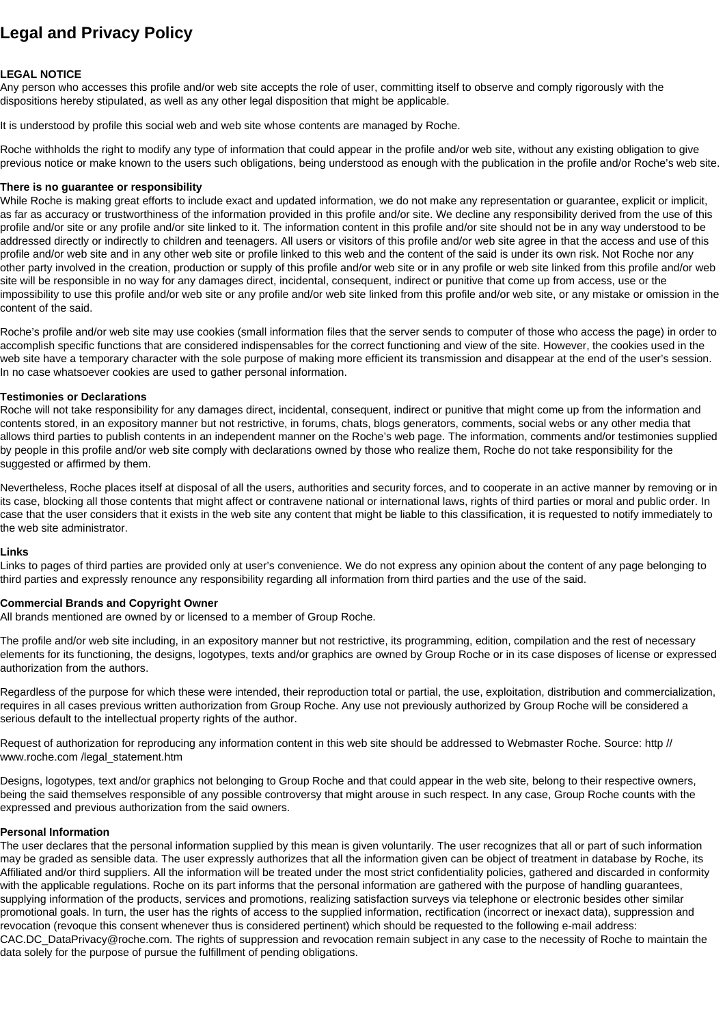## LEGAL NOTICE

Any person who accesses this profile and/or web site accepts the role of user, committing itself to observe and comply rigorously with the dispositions hereby stipulated, as well as any other legal disposition that might be applicable.

It is understood by profile this social web and web site whose contents are managed by Roche.

Roche withholds the right to modify any type of information that could appear in the profile and/or web site, without any existing obligation to give previous notice or make known to the users such obligations, being understood as enough with the publication in the profile and/or Roche's web site.

### There is no guarantee or responsibility

While Roche is making great efforts to include exact and updated information, we do not make any representation or guarantee, explicit or implicit, as far as accuracy or trustworthiness of the information provided in this profile and/or site. We decline any responsibility derived from the use of this profile and/or site or any profile and/or site linked to it. The information content in this profile and/or site should not be in any way understood to be addressed directly or indirectly to children and teenagers. All users or visitors of this profile and/or web site agree in that the access and use of this profile and/or web site and in any other web site or profile linked to this web and the content of the said is under its own risk. Not Roche nor any other party involved in the creation, production or supply of this profile and/or web site or in any profile or web site linked from this profile and/or web site will be responsible in no way for any damages direct, incidental, consequent, indirect or punitive that come up from access, use or the impossibility to use this profile and/or web site or any profile and/or web site linked from this profile and/or web site, or any mistake or omission in the content of the said.

Roche's profile and/or web site may use cookies (small information files that the server sends to computer of those who access the page) in order to accomplish specific functions that are considered indispensables for the correct functioning and view of the site. However, the cookies used in the web site have a temporary character with the sole purpose of making more efficient its transmission and disappear at the end of the user's session. In no case whatsoever cookies are used to gather personal information.

### Testimonies or Declarations

Roche will not take responsibility for any damages direct, incidental, consequent, indirect or punitive that might come up from the information and contents stored, in an expository manner but not restrictive, in forums, chats, blogs generators, comments, social webs or any other media that allows third parties to publish contents in an independent manner on the Roche's web page. The information, comments and/or testimonies supplied by people in this profile and/or web site comply with declarations owned by those who realize them, Roche do not take responsibility for the suggested or affirmed by them.

Nevertheless, Roche places itself at disposal of all the users, authorities and security forces, and to cooperate in an active manner by removing or in its case, blocking all those contents that might affect or contravene national or international laws, rights of third parties or moral and public order. In case that the user considers that it exists in the web site any content that might be liable to this classification, it is requested to notify immediately to the web site administrator.

#### Links

Links to pages of third parties are provided only at user's convenience. We do not express any opinion about the content of any page belonging to third parties and expressly renounce any responsibility regarding all information from third parties and the use of the said.

## Commercial Brands and Copyright Owner

All brands mentioned are owned by or licensed to a member of Group Roche.

The profile and/or web site including, in an expository manner but not restrictive, its programming, edition, compilation and the rest of necessary elements for its functioning, the designs, logotypes, texts and/or graphics are owned by Group Roche or in its case disposes of license or expressed authorization from the authors.

Regardless of the purpose for which these were intended, their reproduction total or partial, the use, exploitation, distribution and commercialization, requires in all cases previous written authorization from Group Roche. Any use not previously authorized by Group Roche will be considered a serious default to the intellectual property rights of the author.

Request of authorization for reproducing any information content in this web site should be addressed to Webmaster Roche. Source: http // www.roche.com /legal\_statement.htm

Designs, logotypes, text and/or graphics not belonging to Group Roche and that could appear in the web site, belong to their respective owners, being the said themselves responsible of any possible controversy that might arouse in such respect. In any case, Group Roche counts with the [expressed and p](http://www.roche.com)revious authorization from the said owners.

#### Personal Information

The user declares that the personal information supplied by this mean is given voluntarily. The user recognizes that all or part of such information may be graded as sensible data. The user expressly authorizes that all the information given can be object of treatment in database by Roche, its Affiliated and/or third suppliers. All the information will be treated under the most strict confidentiality policies, gathered and discarded in conformity with the applicable regulations. Roche on its part informs that the personal information are gathered with the purpose of handling guarantees, supplying information of the products, services and promotions, realizing satisfaction surveys via telephone or electronic besides other similar promotional goals. In turn, the user has the rights of access to the supplied information, rectification (incorrect or inexact data), suppression and revocation (revoque this consent whenever thus is considered pertinent) which should be requested to the following e-mail address: CAC.DC\_DataPrivacy@roche.com. The rights of suppression and revocation remain subject in any case to the necessity of Roche to maintain the data solely for the purpose of pursue the fulfillment of pending obligations.